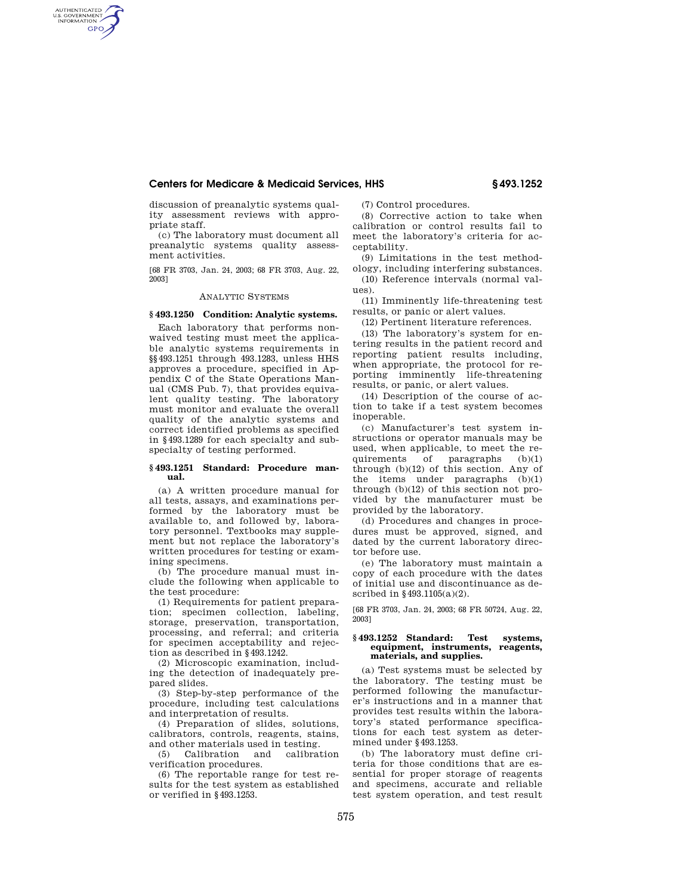### **Centers for Medicare & Medicaid Services, HHS § 493.1252**

discussion of preanalytic systems quality assessment reviews with appropriate staff.

AUTHENTICATED<br>U.S. GOVERNMENT<br>INFORMATION **GPO** 

> (c) The laboratory must document all preanalytic systems quality assessment activities.

> [68 FR 3703, Jan. 24, 2003; 68 FR 3703, Aug. 22, 2003]

## ANALYTIC SYSTEMS

## **§ 493.1250 Condition: Analytic systems.**

Each laboratory that performs nonwaived testing must meet the applicable analytic systems requirements in §§493.1251 through 493.1283, unless HHS approves a procedure, specified in Appendix C of the State Operations Manual (CMS Pub. 7), that provides equivalent quality testing. The laboratory must monitor and evaluate the overall quality of the analytic systems and correct identified problems as specified in §493.1289 for each specialty and subspecialty of testing performed.

#### **§ 493.1251 Standard: Procedure manual.**

(a) A written procedure manual for all tests, assays, and examinations performed by the laboratory must be available to, and followed by, laboratory personnel. Textbooks may supplement but not replace the laboratory's written procedures for testing or examining specimens.

(b) The procedure manual must include the following when applicable to the test procedure:

(1) Requirements for patient preparation; specimen collection, labeling, storage, preservation, transportation, processing, and referral; and criteria for specimen acceptability and rejection as described in §493.1242.

(2) Microscopic examination, including the detection of inadequately prepared slides.

(3) Step-by-step performance of the procedure, including test calculations and interpretation of results.

(4) Preparation of slides, solutions, calibrators, controls, reagents, stains, and other materials used in testing.<br>(5) Calibration and calibration

 $(5)$  Calibration and verification procedures.

(6) The reportable range for test results for the test system as established or verified in §493.1253.

(7) Control procedures.

(8) Corrective action to take when calibration or control results fail to meet the laboratory's criteria for acceptability.

(9) Limitations in the test methodology, including interfering substances.

(10) Reference intervals (normal values).

(11) Imminently life-threatening test results, or panic or alert values.

(12) Pertinent literature references.

(13) The laboratory's system for entering results in the patient record and reporting patient results including, when appropriate, the protocol for reporting imminently life-threatening results, or panic, or alert values.

(14) Description of the course of action to take if a test system becomes inoperable.

(c) Manufacturer's test system instructions or operator manuals may be used, when applicable, to meet the requirements of paragraphs (b)(1) through (b)(12) of this section. Any of the items under paragraphs (b)(1) through (b)(12) of this section not provided by the manufacturer must be provided by the laboratory.

(d) Procedures and changes in procedures must be approved, signed, and dated by the current laboratory director before use.

(e) The laboratory must maintain a copy of each procedure with the dates of initial use and discontinuance as described in §493.1105(a)(2).

[68 FR 3703, Jan. 24, 2003; 68 FR 50724, Aug. 22, 2003]

### **§ 493.1252 Standard: Test systems, equipment, instruments, reagents, materials, and supplies.**

(a) Test systems must be selected by the laboratory. The testing must be performed following the manufacturer's instructions and in a manner that provides test results within the laboratory's stated performance specifications for each test system as determined under §493.1253.

(b) The laboratory must define criteria for those conditions that are essential for proper storage of reagents and specimens, accurate and reliable test system operation, and test result